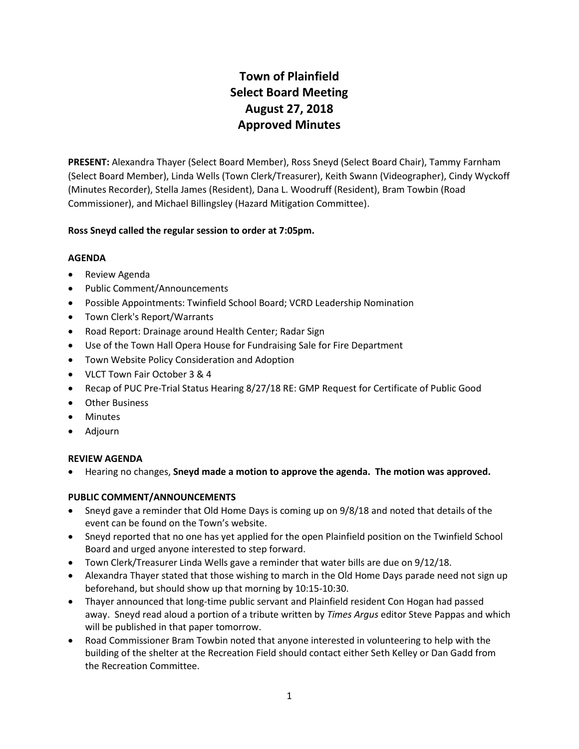# **Town of Plainfield Select Board Meeting August 27, 2018 Approved Minutes**

**PRESENT:** Alexandra Thayer (Select Board Member), Ross Sneyd (Select Board Chair), Tammy Farnham (Select Board Member), Linda Wells (Town Clerk/Treasurer), Keith Swann (Videographer), Cindy Wyckoff (Minutes Recorder), Stella James (Resident), Dana L. Woodruff (Resident), Bram Towbin (Road Commissioner), and Michael Billingsley (Hazard Mitigation Committee).

# **Ross Sneyd called the regular session to order at 7:05pm.**

# **AGENDA**

- Review Agenda
- Public Comment/Announcements
- Possible Appointments: Twinfield School Board; VCRD Leadership Nomination
- Town Clerk's Report/Warrants
- Road Report: Drainage around Health Center; Radar Sign
- Use of the Town Hall Opera House for Fundraising Sale for Fire Department
- Town Website Policy Consideration and Adoption
- VLCT Town Fair October 3 & 4
- Recap of PUC Pre-Trial Status Hearing 8/27/18 RE: GMP Request for Certificate of Public Good
- Other Business
- Minutes
- Adjourn

# **REVIEW AGENDA**

Hearing no changes, **Sneyd made a motion to approve the agenda. The motion was approved.**

# **PUBLIC COMMENT/ANNOUNCEMENTS**

- Sneyd gave a reminder that Old Home Days is coming up on 9/8/18 and noted that details of the event can be found on the Town's website.
- Sneyd reported that no one has yet applied for the open Plainfield position on the Twinfield School Board and urged anyone interested to step forward.
- Town Clerk/Treasurer Linda Wells gave a reminder that water bills are due on 9/12/18.
- Alexandra Thayer stated that those wishing to march in the Old Home Days parade need not sign up beforehand, but should show up that morning by 10:15-10:30.
- Thayer announced that long-time public servant and Plainfield resident Con Hogan had passed away. Sneyd read aloud a portion of a tribute written by *Times Argus* editor Steve Pappas and which will be published in that paper tomorrow.
- Road Commissioner Bram Towbin noted that anyone interested in volunteering to help with the building of the shelter at the Recreation Field should contact either Seth Kelley or Dan Gadd from the Recreation Committee.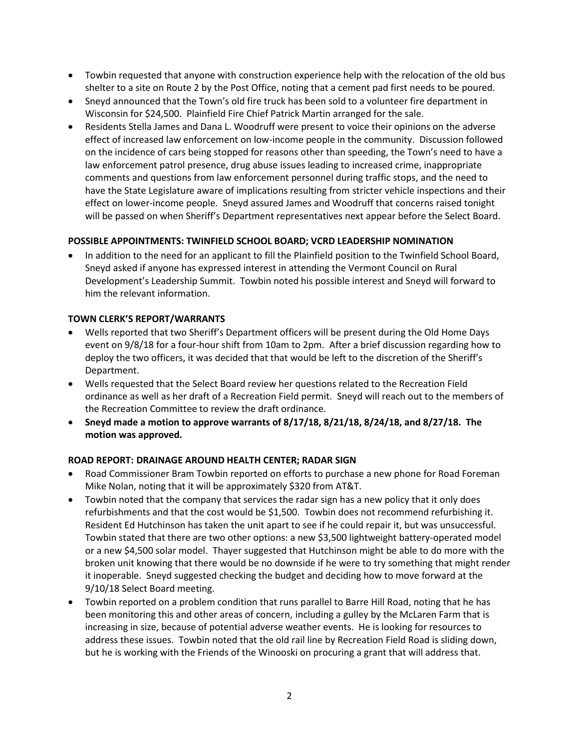- Towbin requested that anyone with construction experience help with the relocation of the old bus shelter to a site on Route 2 by the Post Office, noting that a cement pad first needs to be poured.
- Sneyd announced that the Town's old fire truck has been sold to a volunteer fire department in Wisconsin for \$24,500. Plainfield Fire Chief Patrick Martin arranged for the sale.
- Residents Stella James and Dana L. Woodruff were present to voice their opinions on the adverse effect of increased law enforcement on low-income people in the community. Discussion followed on the incidence of cars being stopped for reasons other than speeding, the Town's need to have a law enforcement patrol presence, drug abuse issues leading to increased crime, inappropriate comments and questions from law enforcement personnel during traffic stops, and the need to have the State Legislature aware of implications resulting from stricter vehicle inspections and their effect on lower-income people. Sneyd assured James and Woodruff that concerns raised tonight will be passed on when Sheriff's Department representatives next appear before the Select Board.

# **POSSIBLE APPOINTMENTS: TWINFIELD SCHOOL BOARD; VCRD LEADERSHIP NOMINATION**

 In addition to the need for an applicant to fill the Plainfield position to the Twinfield School Board, Sneyd asked if anyone has expressed interest in attending the Vermont Council on Rural Development's Leadership Summit. Towbin noted his possible interest and Sneyd will forward to him the relevant information.

# **TOWN CLERK'S REPORT/WARRANTS**

- Wells reported that two Sheriff's Department officers will be present during the Old Home Days event on 9/8/18 for a four-hour shift from 10am to 2pm. After a brief discussion regarding how to deploy the two officers, it was decided that that would be left to the discretion of the Sheriff's Department.
- Wells requested that the Select Board review her questions related to the Recreation Field ordinance as well as her draft of a Recreation Field permit. Sneyd will reach out to the members of the Recreation Committee to review the draft ordinance.
- **Sneyd made a motion to approve warrants of 8/17/18, 8/21/18, 8/24/18, and 8/27/18. The motion was approved.**

# **ROAD REPORT: DRAINAGE AROUND HEALTH CENTER; RADAR SIGN**

- Road Commissioner Bram Towbin reported on efforts to purchase a new phone for Road Foreman Mike Nolan, noting that it will be approximately \$320 from AT&T.
- Towbin noted that the company that services the radar sign has a new policy that it only does refurbishments and that the cost would be \$1,500. Towbin does not recommend refurbishing it. Resident Ed Hutchinson has taken the unit apart to see if he could repair it, but was unsuccessful. Towbin stated that there are two other options: a new \$3,500 lightweight battery-operated model or a new \$4,500 solar model. Thayer suggested that Hutchinson might be able to do more with the broken unit knowing that there would be no downside if he were to try something that might render it inoperable. Sneyd suggested checking the budget and deciding how to move forward at the 9/10/18 Select Board meeting.
- Towbin reported on a problem condition that runs parallel to Barre Hill Road, noting that he has been monitoring this and other areas of concern, including a gulley by the McLaren Farm that is increasing in size, because of potential adverse weather events. He is looking for resources to address these issues. Towbin noted that the old rail line by Recreation Field Road is sliding down, but he is working with the Friends of the Winooski on procuring a grant that will address that.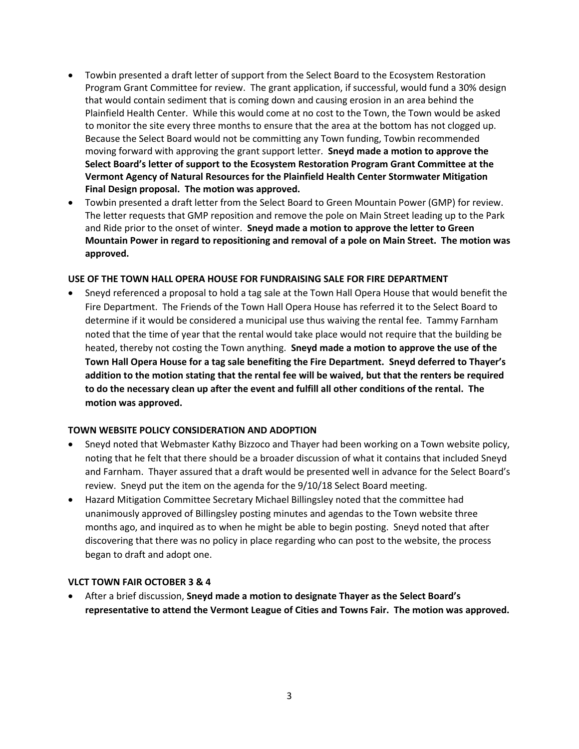- Towbin presented a draft letter of support from the Select Board to the Ecosystem Restoration Program Grant Committee for review. The grant application, if successful, would fund a 30% design that would contain sediment that is coming down and causing erosion in an area behind the Plainfield Health Center. While this would come at no cost to the Town, the Town would be asked to monitor the site every three months to ensure that the area at the bottom has not clogged up. Because the Select Board would not be committing any Town funding, Towbin recommended moving forward with approving the grant support letter. **Sneyd made a motion to approve the Select Board's letter of support to the Ecosystem Restoration Program Grant Committee at the Vermont Agency of Natural Resources for the Plainfield Health Center Stormwater Mitigation Final Design proposal. The motion was approved.**
- Towbin presented a draft letter from the Select Board to Green Mountain Power (GMP) for review. The letter requests that GMP reposition and remove the pole on Main Street leading up to the Park and Ride prior to the onset of winter. **Sneyd made a motion to approve the letter to Green Mountain Power in regard to repositioning and removal of a pole on Main Street. The motion was approved.**

#### **USE OF THE TOWN HALL OPERA HOUSE FOR FUNDRAISING SALE FOR FIRE DEPARTMENT**

 Sneyd referenced a proposal to hold a tag sale at the Town Hall Opera House that would benefit the Fire Department. The Friends of the Town Hall Opera House has referred it to the Select Board to determine if it would be considered a municipal use thus waiving the rental fee. Tammy Farnham noted that the time of year that the rental would take place would not require that the building be heated, thereby not costing the Town anything. **Sneyd made a motion to approve the use of the Town Hall Opera House for a tag sale benefiting the Fire Department. Sneyd deferred to Thayer's addition to the motion stating that the rental fee will be waived, but that the renters be required to do the necessary clean up after the event and fulfill all other conditions of the rental. The motion was approved.**

#### **TOWN WEBSITE POLICY CONSIDERATION AND ADOPTION**

- Sneyd noted that Webmaster Kathy Bizzoco and Thayer had been working on a Town website policy, noting that he felt that there should be a broader discussion of what it contains that included Sneyd and Farnham. Thayer assured that a draft would be presented well in advance for the Select Board's review. Sneyd put the item on the agenda for the 9/10/18 Select Board meeting.
- Hazard Mitigation Committee Secretary Michael Billingsley noted that the committee had unanimously approved of Billingsley posting minutes and agendas to the Town website three months ago, and inquired as to when he might be able to begin posting. Sneyd noted that after discovering that there was no policy in place regarding who can post to the website, the process began to draft and adopt one.

# **VLCT TOWN FAIR OCTOBER 3 & 4**

 After a brief discussion, **Sneyd made a motion to designate Thayer as the Select Board's representative to attend the Vermont League of Cities and Towns Fair. The motion was approved.**